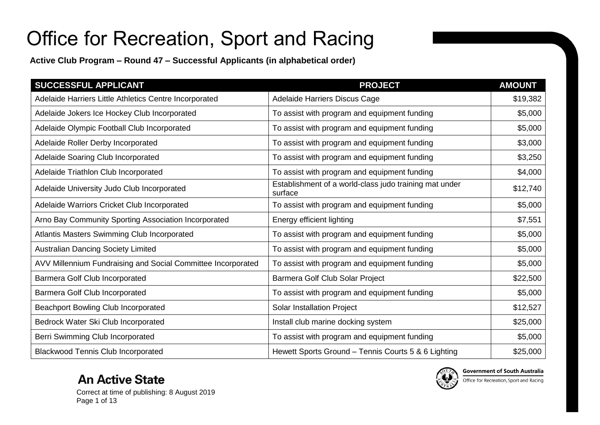**Active Club Program – Round 47 – Successful Applicants (in alphabetical order)**

| SUCCESSFUL APPLICANT                                         | <b>PROJECT</b>                                                    | <b>AMOUNT</b> |
|--------------------------------------------------------------|-------------------------------------------------------------------|---------------|
| Adelaide Harriers Little Athletics Centre Incorporated       | Adelaide Harriers Discus Cage                                     | \$19,382      |
| Adelaide Jokers Ice Hockey Club Incorporated                 | To assist with program and equipment funding                      | \$5,000       |
| Adelaide Olympic Football Club Incorporated                  | To assist with program and equipment funding                      | \$5,000       |
| Adelaide Roller Derby Incorporated                           | To assist with program and equipment funding                      | \$3,000       |
| Adelaide Soaring Club Incorporated                           | To assist with program and equipment funding                      | \$3,250       |
| Adelaide Triathlon Club Incorporated                         | To assist with program and equipment funding                      | \$4,000       |
| Adelaide University Judo Club Incorporated                   | Establishment of a world-class judo training mat under<br>surface | \$12,740      |
| Adelaide Warriors Cricket Club Incorporated                  | To assist with program and equipment funding                      | \$5,000       |
| Arno Bay Community Sporting Association Incorporated         | Energy efficient lighting                                         | \$7,551       |
| Atlantis Masters Swimming Club Incorporated                  | To assist with program and equipment funding                      | \$5,000       |
| <b>Australian Dancing Society Limited</b>                    | To assist with program and equipment funding                      | \$5,000       |
| AVV Millennium Fundraising and Social Committee Incorporated | To assist with program and equipment funding                      | \$5,000       |
| Barmera Golf Club Incorporated                               | Barmera Golf Club Solar Project                                   | \$22,500      |
| Barmera Golf Club Incorporated                               | To assist with program and equipment funding                      | \$5,000       |
| Beachport Bowling Club Incorporated                          | Solar Installation Project                                        | \$12,527      |
| Bedrock Water Ski Club Incorporated                          | Install club marine docking system                                | \$25,000      |
| Berri Swimming Club Incorporated                             | To assist with program and equipment funding                      | \$5,000       |
| <b>Blackwood Tennis Club Incorporated</b>                    | Hewett Sports Ground - Tennis Courts 5 & 6 Lighting               | \$25,000      |

#### **An Active State**



Correct at time of publishing: 8 August 2019 Page 1 of 13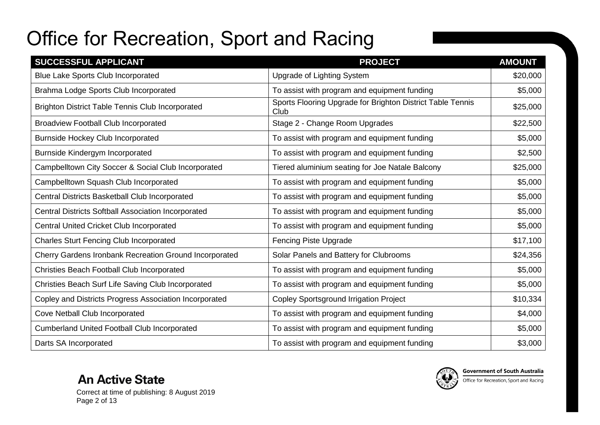| SUCCESSFUL APPLICANT                                       | <b>PROJECT</b>                                                     | <b>AMOUNT</b> |
|------------------------------------------------------------|--------------------------------------------------------------------|---------------|
| <b>Blue Lake Sports Club Incorporated</b>                  | <b>Upgrade of Lighting System</b>                                  | \$20,000      |
| Brahma Lodge Sports Club Incorporated                      | To assist with program and equipment funding                       | \$5,000       |
| <b>Brighton District Table Tennis Club Incorporated</b>    | Sports Flooring Upgrade for Brighton District Table Tennis<br>Club | \$25,000      |
| <b>Broadview Football Club Incorporated</b>                | Stage 2 - Change Room Upgrades                                     | \$22,500      |
| <b>Burnside Hockey Club Incorporated</b>                   | To assist with program and equipment funding                       | \$5,000       |
| Burnside Kindergym Incorporated                            | To assist with program and equipment funding                       | \$2,500       |
| Campbelltown City Soccer & Social Club Incorporated        | Tiered aluminium seating for Joe Natale Balcony                    | \$25,000      |
| Campbelltown Squash Club Incorporated                      | To assist with program and equipment funding                       | \$5,000       |
| Central Districts Basketball Club Incorporated             | To assist with program and equipment funding                       | \$5,000       |
| <b>Central Districts Softball Association Incorporated</b> | To assist with program and equipment funding                       | \$5,000       |
| Central United Cricket Club Incorporated                   | To assist with program and equipment funding                       | \$5,000       |
| <b>Charles Sturt Fencing Club Incorporated</b>             | <b>Fencing Piste Upgrade</b>                                       | \$17,100      |
| Cherry Gardens Ironbank Recreation Ground Incorporated     | Solar Panels and Battery for Clubrooms                             | \$24,356      |
| Christies Beach Football Club Incorporated                 | To assist with program and equipment funding                       | \$5,000       |
| Christies Beach Surf Life Saving Club Incorporated         | To assist with program and equipment funding                       | \$5,000       |
| Copley and Districts Progress Association Incorporated     | <b>Copley Sportsground Irrigation Project</b>                      | \$10,334      |
| Cove Netball Club Incorporated                             | To assist with program and equipment funding                       | \$4,000       |
| <b>Cumberland United Football Club Incorporated</b>        | To assist with program and equipment funding                       | \$5,000       |
| Darts SA Incorporated                                      | To assist with program and equipment funding                       | \$3,000       |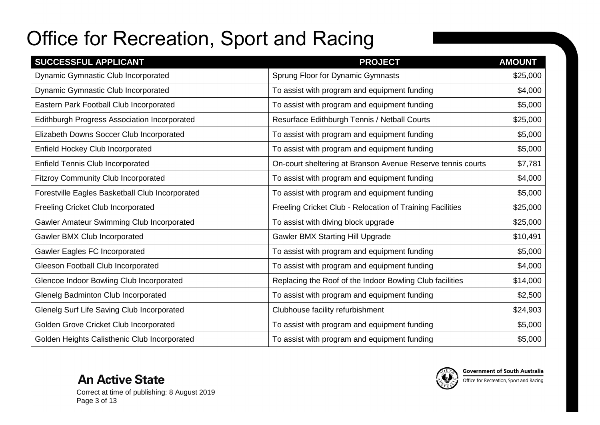| SUCCESSFUL APPLICANT                                | <b>PROJECT</b>                                              | <b>AMOUNT</b> |
|-----------------------------------------------------|-------------------------------------------------------------|---------------|
| Dynamic Gymnastic Club Incorporated                 | Sprung Floor for Dynamic Gymnasts                           | \$25,000      |
| Dynamic Gymnastic Club Incorporated                 | To assist with program and equipment funding                | \$4,000       |
| Eastern Park Football Club Incorporated             | To assist with program and equipment funding                | \$5,000       |
| <b>Edithburgh Progress Association Incorporated</b> | Resurface Edithburgh Tennis / Netball Courts                | \$25,000      |
| Elizabeth Downs Soccer Club Incorporated            | To assist with program and equipment funding                | \$5,000       |
| Enfield Hockey Club Incorporated                    | To assist with program and equipment funding                | \$5,000       |
| <b>Enfield Tennis Club Incorporated</b>             | On-court sheltering at Branson Avenue Reserve tennis courts | \$7,781       |
| <b>Fitzroy Community Club Incorporated</b>          | To assist with program and equipment funding                | \$4,000       |
| Forestville Eagles Basketball Club Incorporated     | To assist with program and equipment funding                | \$5,000       |
| Freeling Cricket Club Incorporated                  | Freeling Cricket Club - Relocation of Training Facilities   | \$25,000      |
| Gawler Amateur Swimming Club Incorporated           | To assist with diving block upgrade                         | \$25,000      |
| Gawler BMX Club Incorporated                        | <b>Gawler BMX Starting Hill Upgrade</b>                     | \$10,491      |
| <b>Gawler Eagles FC Incorporated</b>                | To assist with program and equipment funding                | \$5,000       |
| Gleeson Football Club Incorporated                  | To assist with program and equipment funding                | \$4,000       |
| Glencoe Indoor Bowling Club Incorporated            | Replacing the Roof of the Indoor Bowling Club facilities    | \$14,000      |
| Glenelg Badminton Club Incorporated                 | To assist with program and equipment funding                | \$2,500       |
| Glenelg Surf Life Saving Club Incorporated          | Clubhouse facility refurbishment                            | \$24,903      |
| Golden Grove Cricket Club Incorporated              | To assist with program and equipment funding                | \$5,000       |
| Golden Heights Calisthenic Club Incorporated        | To assist with program and equipment funding                | \$5,000       |

**An Active State** Correct at time of publishing: 8 August 2019 Page 3 of 13

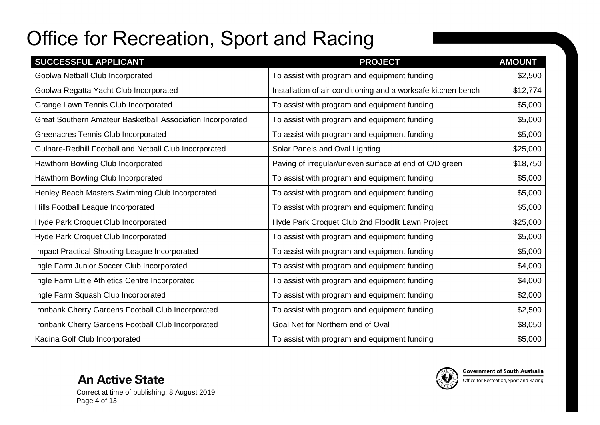| SUCCESSFUL APPLICANT                                       | <b>PROJECT</b>                                                | <b>AMOUNT</b> |
|------------------------------------------------------------|---------------------------------------------------------------|---------------|
| Goolwa Netball Club Incorporated                           | To assist with program and equipment funding                  | \$2,500       |
| Goolwa Regatta Yacht Club Incorporated                     | Installation of air-conditioning and a worksafe kitchen bench | \$12,774      |
| Grange Lawn Tennis Club Incorporated                       | To assist with program and equipment funding                  | \$5,000       |
| Great Southern Amateur Basketball Association Incorporated | To assist with program and equipment funding                  | \$5,000       |
| Greenacres Tennis Club Incorporated                        | To assist with program and equipment funding                  | \$5,000       |
| Gulnare-Redhill Football and Netball Club Incorporated     | Solar Panels and Oval Lighting                                | \$25,000      |
| Hawthorn Bowling Club Incorporated                         | Paving of irregular/uneven surface at end of C/D green        | \$18,750      |
| Hawthorn Bowling Club Incorporated                         | To assist with program and equipment funding                  | \$5,000       |
| Henley Beach Masters Swimming Club Incorporated            | To assist with program and equipment funding                  | \$5,000       |
| Hills Football League Incorporated                         | To assist with program and equipment funding                  | \$5,000       |
| Hyde Park Croquet Club Incorporated                        | Hyde Park Croquet Club 2nd Floodlit Lawn Project              | \$25,000      |
| Hyde Park Croquet Club Incorporated                        | To assist with program and equipment funding                  | \$5,000       |
| <b>Impact Practical Shooting League Incorporated</b>       | To assist with program and equipment funding                  | \$5,000       |
| Ingle Farm Junior Soccer Club Incorporated                 | To assist with program and equipment funding                  | \$4,000       |
| Ingle Farm Little Athletics Centre Incorporated            | To assist with program and equipment funding                  | \$4,000       |
| Ingle Farm Squash Club Incorporated                        | To assist with program and equipment funding                  | \$2,000       |
| Ironbank Cherry Gardens Football Club Incorporated         | To assist with program and equipment funding                  | \$2,500       |
| Ironbank Cherry Gardens Football Club Incorporated         | Goal Net for Northern end of Oval                             | \$8,050       |
| Kadina Golf Club Incorporated                              | To assist with program and equipment funding                  | \$5,000       |

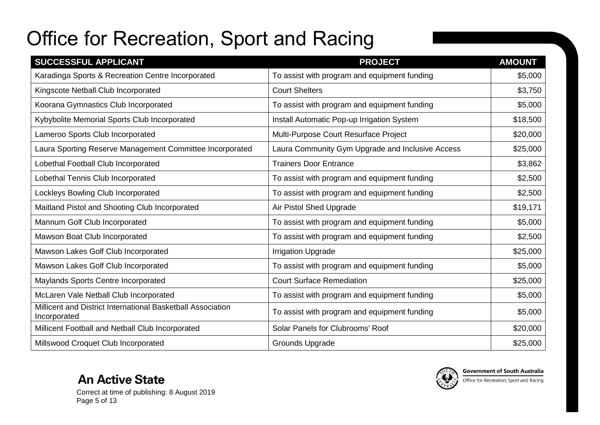| SUCCESSFUL APPLICANT                                                        | <b>PROJECT</b>                                   | <b>AMOUNT</b> |
|-----------------------------------------------------------------------------|--------------------------------------------------|---------------|
| Karadinga Sports & Recreation Centre Incorporated                           | To assist with program and equipment funding     | \$5,000       |
| Kingscote Netball Club Incorporated                                         | <b>Court Shelters</b>                            | \$3,750       |
| Koorana Gymnastics Club Incorporated                                        | To assist with program and equipment funding     | \$5,000       |
| Kybybolite Memorial Sports Club Incorporated                                | Install Automatic Pop-up Irrigation System       | \$18,500      |
| Lameroo Sports Club Incorporated                                            | Multi-Purpose Court Resurface Project            | \$20,000      |
| Laura Sporting Reserve Management Committee Incorporated                    | Laura Community Gym Upgrade and Inclusive Access | \$25,000      |
| Lobethal Football Club Incorporated                                         | <b>Trainers Door Entrance</b>                    | \$3,862       |
| Lobethal Tennis Club Incorporated                                           | To assist with program and equipment funding     | \$2,500       |
| Lockleys Bowling Club Incorporated                                          | To assist with program and equipment funding     | \$2,500       |
| Maitland Pistol and Shooting Club Incorporated                              | Air Pistol Shed Upgrade                          | \$19,171      |
| Mannum Golf Club Incorporated                                               | To assist with program and equipment funding     | \$5,000       |
| Mawson Boat Club Incorporated                                               | To assist with program and equipment funding     | \$2,500       |
| Mawson Lakes Golf Club Incorporated                                         | <b>Irrigation Upgrade</b>                        | \$25,000      |
| Mawson Lakes Golf Club Incorporated                                         | To assist with program and equipment funding     | \$5,000       |
| Maylands Sports Centre Incorporated                                         | <b>Court Surface Remediation</b>                 | \$25,000      |
| McLaren Vale Netball Club Incorporated                                      | To assist with program and equipment funding     | \$5,000       |
| Millicent and District International Basketball Association<br>Incorporated | To assist with program and equipment funding     | \$5,000       |
| Millicent Football and Netball Club Incorporated                            | Solar Panels for Clubrooms' Roof                 | \$20,000      |
| Millswood Croquet Club Incorporated                                         | Grounds Upgrade                                  | \$25,000      |

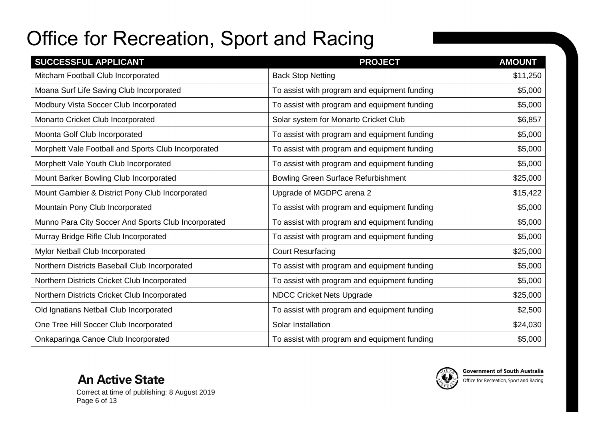| SUCCESSFUL APPLICANT                                | <b>PROJECT</b>                               | <b>AMOUNT</b> |
|-----------------------------------------------------|----------------------------------------------|---------------|
| Mitcham Football Club Incorporated                  | <b>Back Stop Netting</b>                     | \$11,250      |
| Moana Surf Life Saving Club Incorporated            | To assist with program and equipment funding | \$5,000       |
| Modbury Vista Soccer Club Incorporated              | To assist with program and equipment funding | \$5,000       |
| Monarto Cricket Club Incorporated                   | Solar system for Monarto Cricket Club        | \$6,857       |
| Moonta Golf Club Incorporated                       | To assist with program and equipment funding | \$5,000       |
| Morphett Vale Football and Sports Club Incorporated | To assist with program and equipment funding | \$5,000       |
| Morphett Vale Youth Club Incorporated               | To assist with program and equipment funding | \$5,000       |
| Mount Barker Bowling Club Incorporated              | <b>Bowling Green Surface Refurbishment</b>   | \$25,000      |
| Mount Gambier & District Pony Club Incorporated     | Upgrade of MGDPC arena 2                     | \$15,422      |
| Mountain Pony Club Incorporated                     | To assist with program and equipment funding | \$5,000       |
| Munno Para City Soccer And Sports Club Incorporated | To assist with program and equipment funding | \$5,000       |
| Murray Bridge Rifle Club Incorporated               | To assist with program and equipment funding | \$5,000       |
| Mylor Netball Club Incorporated                     | <b>Court Resurfacing</b>                     | \$25,000      |
| Northern Districts Baseball Club Incorporated       | To assist with program and equipment funding | \$5,000       |
| Northern Districts Cricket Club Incorporated        | To assist with program and equipment funding | \$5,000       |
| Northern Districts Cricket Club Incorporated        | <b>NDCC Cricket Nets Upgrade</b>             | \$25,000      |
| Old Ignatians Netball Club Incorporated             | To assist with program and equipment funding | \$2,500       |
| One Tree Hill Soccer Club Incorporated              | Solar Installation                           | \$24,030      |
| Onkaparinga Canoe Club Incorporated                 | To assist with program and equipment funding | \$5,000       |



Correct at time of publishing: 8 August 2019 Page 6 of 13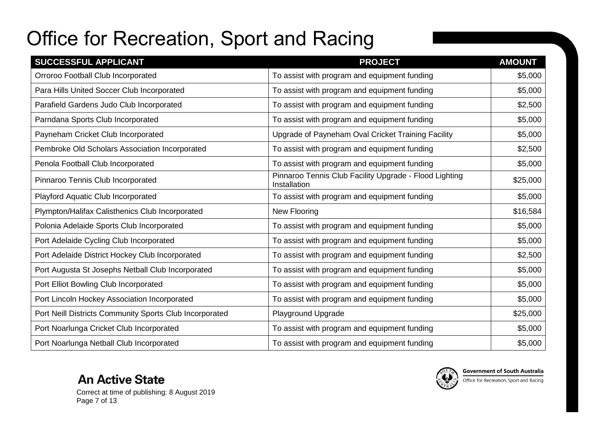| SUCCESSFUL APPLICANT                                    | <b>PROJECT</b>                                                         | <b>AMOUNT</b> |
|---------------------------------------------------------|------------------------------------------------------------------------|---------------|
| Orroroo Football Club Incorporated                      | To assist with program and equipment funding                           | \$5,000       |
| Para Hills United Soccer Club Incorporated              | To assist with program and equipment funding                           | \$5,000       |
| Parafield Gardens Judo Club Incorporated                | To assist with program and equipment funding                           | \$2,500       |
| Parndana Sports Club Incorporated                       | To assist with program and equipment funding                           | \$5,000       |
| Payneham Cricket Club Incorporated                      | Upgrade of Payneham Oval Cricket Training Facility                     | \$5,000       |
| Pembroke Old Scholars Association Incorporated          | To assist with program and equipment funding                           | \$2,500       |
| Penola Football Club Incorporated                       | To assist with program and equipment funding                           | \$5,000       |
| Pinnaroo Tennis Club Incorporated                       | Pinnaroo Tennis Club Facility Upgrade - Flood Lighting<br>Installation | \$25,000      |
| Playford Aquatic Club Incorporated                      | To assist with program and equipment funding                           | \$5,000       |
| Plympton/Halifax Calisthenics Club Incorporated         | New Flooring                                                           | \$16,584      |
| Polonia Adelaide Sports Club Incorporated               | To assist with program and equipment funding                           | \$5,000       |
| Port Adelaide Cycling Club Incorporated                 | To assist with program and equipment funding                           | \$5,000       |
| Port Adelaide District Hockey Club Incorporated         | To assist with program and equipment funding                           | \$2,500       |
| Port Augusta St Josephs Netball Club Incorporated       | To assist with program and equipment funding                           | \$5,000       |
| Port Elliot Bowling Club Incorporated                   | To assist with program and equipment funding                           | \$5,000       |
| Port Lincoln Hockey Association Incorporated            | To assist with program and equipment funding                           | \$5,000       |
| Port Neill Districts Community Sports Club Incorporated | Playground Upgrade                                                     | \$25,000      |
| Port Noarlunga Cricket Club Incorporated                | To assist with program and equipment funding                           | \$5,000       |
| Port Noarlunga Netball Club Incorporated                | To assist with program and equipment funding                           | \$5,000       |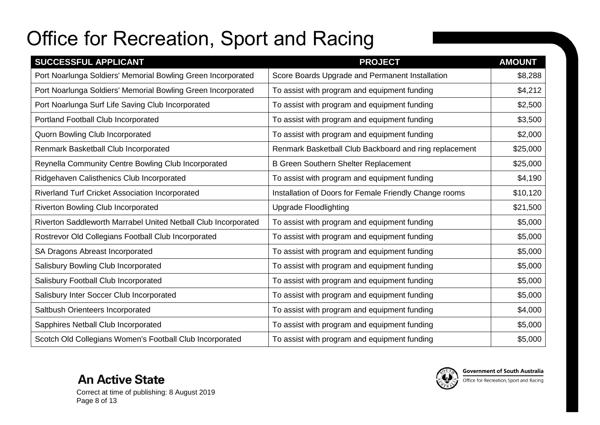| SUCCESSFUL APPLICANT                                           | <b>PROJECT</b>                                         | <b>AMOUNT</b> |
|----------------------------------------------------------------|--------------------------------------------------------|---------------|
| Port Noarlunga Soldiers' Memorial Bowling Green Incorporated   | Score Boards Upgrade and Permanent Installation        | \$8,288       |
| Port Noarlunga Soldiers' Memorial Bowling Green Incorporated   | To assist with program and equipment funding           | \$4,212       |
| Port Noarlunga Surf Life Saving Club Incorporated              | To assist with program and equipment funding           | \$2,500       |
| Portland Football Club Incorporated                            | To assist with program and equipment funding           | \$3,500       |
| Quorn Bowling Club Incorporated                                | To assist with program and equipment funding           | \$2,000       |
| Renmark Basketball Club Incorporated                           | Renmark Basketball Club Backboard and ring replacement | \$25,000      |
| Reynella Community Centre Bowling Club Incorporated            | <b>B Green Southern Shelter Replacement</b>            | \$25,000      |
| Ridgehaven Calisthenics Club Incorporated                      | To assist with program and equipment funding           | \$4,190       |
| Riverland Turf Cricket Association Incorporated                | Installation of Doors for Female Friendly Change rooms | \$10,120      |
| Riverton Bowling Club Incorporated                             | <b>Upgrade Floodlighting</b>                           | \$21,500      |
| Riverton Saddleworth Marrabel United Netball Club Incorporated | To assist with program and equipment funding           | \$5,000       |
| Rostrevor Old Collegians Football Club Incorporated            | To assist with program and equipment funding           | \$5,000       |
| SA Dragons Abreast Incorporated                                | To assist with program and equipment funding           | \$5,000       |
| Salisbury Bowling Club Incorporated                            | To assist with program and equipment funding           | \$5,000       |
| Salisbury Football Club Incorporated                           | To assist with program and equipment funding           | \$5,000       |
| Salisbury Inter Soccer Club Incorporated                       | To assist with program and equipment funding           | \$5,000       |
| Saltbush Orienteers Incorporated                               | To assist with program and equipment funding           | \$4,000       |
| Sapphires Netball Club Incorporated                            | To assist with program and equipment funding           | \$5,000       |
| Scotch Old Collegians Women's Football Club Incorporated       | To assist with program and equipment funding           | \$5,000       |

Correct at time of publishing: 8 August 2019 Page 8 of 13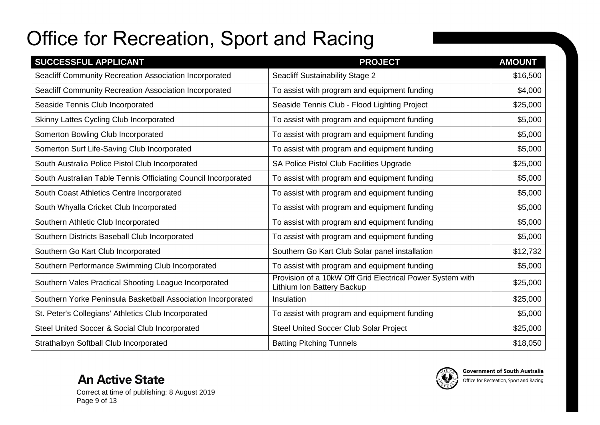| SUCCESSFUL APPLICANT                                           | <b>PROJECT</b>                                                                          | <b>AMOUNT</b> |
|----------------------------------------------------------------|-----------------------------------------------------------------------------------------|---------------|
| Seacliff Community Recreation Association Incorporated         | <b>Seacliff Sustainability Stage 2</b>                                                  | \$16,500      |
| Seacliff Community Recreation Association Incorporated         | To assist with program and equipment funding                                            | \$4,000       |
| Seaside Tennis Club Incorporated                               | Seaside Tennis Club - Flood Lighting Project                                            | \$25,000      |
| Skinny Lattes Cycling Club Incorporated                        | To assist with program and equipment funding                                            | \$5,000       |
| Somerton Bowling Club Incorporated                             | To assist with program and equipment funding                                            | \$5,000       |
| Somerton Surf Life-Saving Club Incorporated                    | To assist with program and equipment funding                                            | \$5,000       |
| South Australia Police Pistol Club Incorporated                | SA Police Pistol Club Facilities Upgrade                                                | \$25,000      |
| South Australian Table Tennis Officiating Council Incorporated | To assist with program and equipment funding                                            | \$5,000       |
| South Coast Athletics Centre Incorporated                      | To assist with program and equipment funding                                            | \$5,000       |
| South Whyalla Cricket Club Incorporated                        | To assist with program and equipment funding                                            | \$5,000       |
| Southern Athletic Club Incorporated                            | To assist with program and equipment funding                                            | \$5,000       |
| Southern Districts Baseball Club Incorporated                  | To assist with program and equipment funding                                            | \$5,000       |
| Southern Go Kart Club Incorporated                             | Southern Go Kart Club Solar panel installation                                          | \$12,732      |
| Southern Performance Swimming Club Incorporated                | To assist with program and equipment funding                                            | \$5,000       |
| Southern Vales Practical Shooting League Incorporated          | Provision of a 10kW Off Grid Electrical Power System with<br>Lithium Ion Battery Backup | \$25,000      |
| Southern Yorke Peninsula Basketball Association Incorporated   | Insulation                                                                              | \$25,000      |
| St. Peter's Collegians' Athletics Club Incorporated            | To assist with program and equipment funding                                            | \$5,000       |
| Steel United Soccer & Social Club Incorporated                 | <b>Steel United Soccer Club Solar Project</b>                                           | \$25,000      |
| Strathalbyn Softball Club Incorporated                         | <b>Batting Pitching Tunnels</b>                                                         | \$18,050      |



Correct at time of publishing: 8 August 2019 Page 9 of 13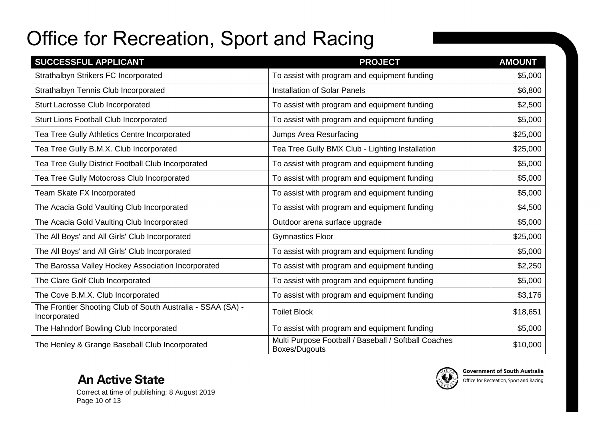| SUCCESSFUL APPLICANT                                                        | <b>PROJECT</b>                                                        | <b>AMOUNT</b> |
|-----------------------------------------------------------------------------|-----------------------------------------------------------------------|---------------|
| Strathalbyn Strikers FC Incorporated                                        | To assist with program and equipment funding                          | \$5,000       |
| Strathalbyn Tennis Club Incorporated                                        | <b>Installation of Solar Panels</b>                                   | \$6,800       |
| Sturt Lacrosse Club Incorporated                                            | To assist with program and equipment funding                          | \$2,500       |
| Sturt Lions Football Club Incorporated                                      | To assist with program and equipment funding                          | \$5,000       |
| Tea Tree Gully Athletics Centre Incorporated                                | Jumps Area Resurfacing                                                | \$25,000      |
| Tea Tree Gully B.M.X. Club Incorporated                                     | Tea Tree Gully BMX Club - Lighting Installation                       | \$25,000      |
| Tea Tree Gully District Football Club Incorporated                          | To assist with program and equipment funding                          | \$5,000       |
| Tea Tree Gully Motocross Club Incorporated                                  | To assist with program and equipment funding                          | \$5,000       |
| Team Skate FX Incorporated                                                  | To assist with program and equipment funding                          | \$5,000       |
| The Acacia Gold Vaulting Club Incorporated                                  | To assist with program and equipment funding                          | \$4,500       |
| The Acacia Gold Vaulting Club Incorporated                                  | Outdoor arena surface upgrade                                         | \$5,000       |
| The All Boys' and All Girls' Club Incorporated                              | <b>Gymnastics Floor</b>                                               | \$25,000      |
| The All Boys' and All Girls' Club Incorporated                              | To assist with program and equipment funding                          | \$5,000       |
| The Barossa Valley Hockey Association Incorporated                          | To assist with program and equipment funding                          | \$2,250       |
| The Clare Golf Club Incorporated                                            | To assist with program and equipment funding                          | \$5,000       |
| The Cove B.M.X. Club Incorporated                                           | To assist with program and equipment funding                          | \$3,176       |
| The Frontier Shooting Club of South Australia - SSAA (SA) -<br>Incorporated | <b>Toilet Block</b>                                                   | \$18,651      |
| The Hahndorf Bowling Club Incorporated                                      | To assist with program and equipment funding                          | \$5,000       |
| The Henley & Grange Baseball Club Incorporated                              | Multi Purpose Football / Baseball / Softball Coaches<br>Boxes/Dugouts | \$10,000      |

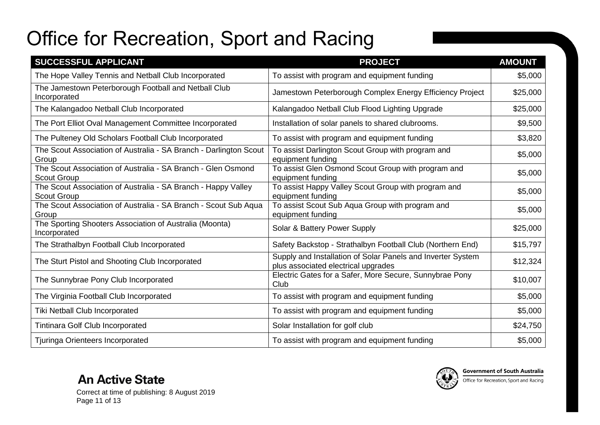| SUCCESSFUL APPLICANT                                                                | <b>PROJECT</b>                                                                                     | <b>AMOUNT</b> |
|-------------------------------------------------------------------------------------|----------------------------------------------------------------------------------------------------|---------------|
| The Hope Valley Tennis and Netball Club Incorporated                                | To assist with program and equipment funding                                                       | \$5,000       |
| The Jamestown Peterborough Football and Netball Club<br>Incorporated                | Jamestown Peterborough Complex Energy Efficiency Project                                           | \$25,000      |
| The Kalangadoo Netball Club Incorporated                                            | Kalangadoo Netball Club Flood Lighting Upgrade                                                     | \$25,000      |
| The Port Elliot Oval Management Committee Incorporated                              | Installation of solar panels to shared clubrooms.                                                  | \$9,500       |
| The Pulteney Old Scholars Football Club Incorporated                                | To assist with program and equipment funding                                                       | \$3,820       |
| The Scout Association of Australia - SA Branch - Darlington Scout<br>Group          | To assist Darlington Scout Group with program and<br>equipment funding                             | \$5,000       |
| The Scout Association of Australia - SA Branch - Glen Osmond<br><b>Scout Group</b>  | To assist Glen Osmond Scout Group with program and<br>equipment funding                            | \$5,000       |
| The Scout Association of Australia - SA Branch - Happy Valley<br><b>Scout Group</b> | To assist Happy Valley Scout Group with program and<br>equipment funding                           | \$5,000       |
| The Scout Association of Australia - SA Branch - Scout Sub Aqua<br>Group            | To assist Scout Sub Aqua Group with program and<br>equipment funding                               | \$5,000       |
| The Sporting Shooters Association of Australia (Moonta)<br>Incorporated             | Solar & Battery Power Supply                                                                       | \$25,000      |
| The Strathalbyn Football Club Incorporated                                          | Safety Backstop - Strathalbyn Football Club (Northern End)                                         | \$15,797      |
| The Sturt Pistol and Shooting Club Incorporated                                     | Supply and Installation of Solar Panels and Inverter System<br>plus associated electrical upgrades | \$12,324      |
| The Sunnybrae Pony Club Incorporated                                                | Electric Gates for a Safer, More Secure, Sunnybrae Pony<br>Club                                    | \$10,007      |
| The Virginia Football Club Incorporated                                             | To assist with program and equipment funding                                                       | \$5,000       |
| Tiki Netball Club Incorporated                                                      | To assist with program and equipment funding                                                       | \$5,000       |
| <b>Tintinara Golf Club Incorporated</b>                                             | Solar Installation for golf club                                                                   | \$24,750      |
| Tjuringa Orienteers Incorporated                                                    | To assist with program and equipment funding                                                       | \$5,000       |



Correct at time of publishing: 8 August 2019 Page 11 of 13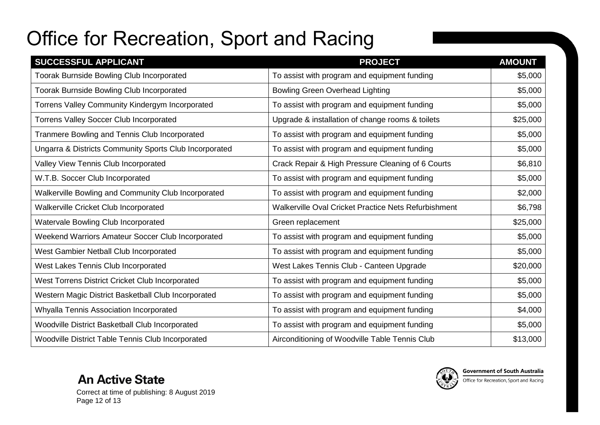| SUCCESSFUL APPLICANT                                   | <b>PROJECT</b>                                       | <b>AMOUNT</b> |
|--------------------------------------------------------|------------------------------------------------------|---------------|
| Toorak Burnside Bowling Club Incorporated              | To assist with program and equipment funding         | \$5,000       |
| <b>Toorak Burnside Bowling Club Incorporated</b>       | <b>Bowling Green Overhead Lighting</b>               | \$5,000       |
| Torrens Valley Community Kindergym Incorporated        | To assist with program and equipment funding         | \$5,000       |
| <b>Torrens Valley Soccer Club Incorporated</b>         | Upgrade & installation of change rooms & toilets     | \$25,000      |
| Tranmere Bowling and Tennis Club Incorporated          | To assist with program and equipment funding         | \$5,000       |
| Ungarra & Districts Community Sports Club Incorporated | To assist with program and equipment funding         | \$5,000       |
| Valley View Tennis Club Incorporated                   | Crack Repair & High Pressure Cleaning of 6 Courts    | \$6,810       |
| W.T.B. Soccer Club Incorporated                        | To assist with program and equipment funding         | \$5,000       |
| Walkerville Bowling and Community Club Incorporated    | To assist with program and equipment funding         | \$2,000       |
| Walkerville Cricket Club Incorporated                  | Walkerville Oval Cricket Practice Nets Refurbishment | \$6,798       |
| Watervale Bowling Club Incorporated                    | Green replacement                                    | \$25,000      |
| Weekend Warriors Amateur Soccer Club Incorporated      | To assist with program and equipment funding         | \$5,000       |
| West Gambier Netball Club Incorporated                 | To assist with program and equipment funding         | \$5,000       |
| West Lakes Tennis Club Incorporated                    | West Lakes Tennis Club - Canteen Upgrade             | \$20,000      |
| West Torrens District Cricket Club Incorporated        | To assist with program and equipment funding         | \$5,000       |
| Western Magic District Basketball Club Incorporated    | To assist with program and equipment funding         | \$5,000       |
| Whyalla Tennis Association Incorporated                | To assist with program and equipment funding         | \$4,000       |
| Woodville District Basketball Club Incorporated        | To assist with program and equipment funding         | \$5,000       |
| Woodville District Table Tennis Club Incorporated      | Airconditioning of Woodville Table Tennis Club       | \$13,000      |

**An Active State** Correct at time of publishing: 8 August 2019 Page 12 of 13